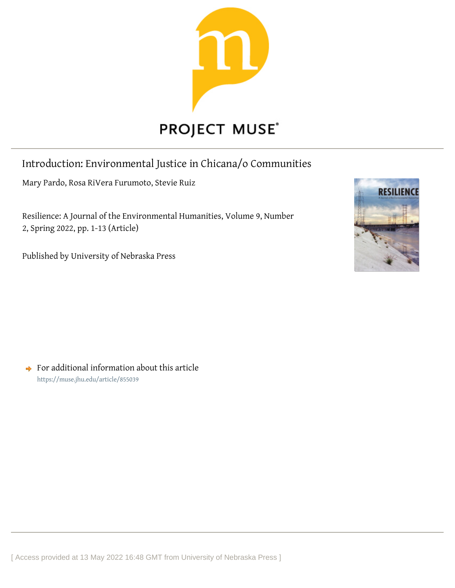

# Introduction: Environmental Justice in Chicana/o Communities

Mary Pardo, Rosa RiVera Furumoto, Stevie Ruiz

Resilience: A Journal of the Environmental Humanities, Volume 9, Number 2, Spring 2022, pp. 1-13 (Article)

Published by University of Nebraska Press



 $\rightarrow$  For additional information about this article <https://muse.jhu.edu/article/855039>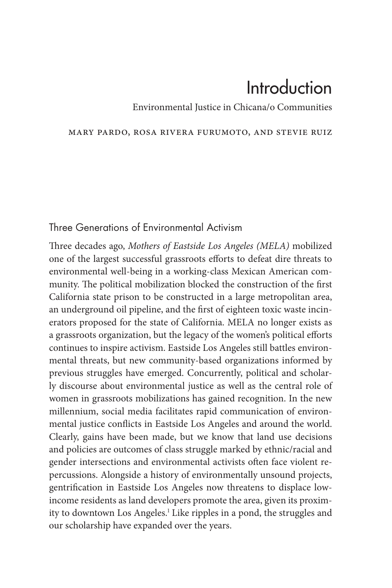# Introduction

Environmental Justice in Chicana/o Communities

#### Mary Pardo, Rosa RiVera Furumoto, and Stevie Ruiz

#### Three Generations of Environmental Activism

Three decades ago, *Mothers of Eastside Los Angeles (MELA)* mobilized one of the largest successful grassroots efforts to defeat dire threats to environmental well-being in a working-class Mexican American community. The political mobilization blocked the construction of the first California state prison to be constructed in a large metropolitan area, an underground oil pipeline, and the first of eighteen toxic waste incinerators proposed for the state of California. MELA no longer exists as a grassroots organization, but the legacy of the women's political efforts continues to inspire activism. Eastside Los Angeles still battles environmental threats, but new community-based organizations informed by previous struggles have emerged. Concurrently, political and scholarly discourse about environmental justice as well as the central role of women in grassroots mobilizations has gained recognition. In the new millennium, social media facilitates rapid communication of environmental justice conflicts in Eastside Los Angeles and around the world. Clearly, gains have been made, but we know that land use decisions and policies are outcomes of class struggle marked by ethnic/racial and gender intersections and environmental activists often face violent repercussions. Alongside a history of environmentally unsound projects, gentrification in Eastside Los Angeles now threatens to displace lowincome residents as land developers promote the area, given its proximity to downtown Los Angeles.<sup>1</sup> Like ripples in a pond, the struggles and our scholarship have expanded over the years.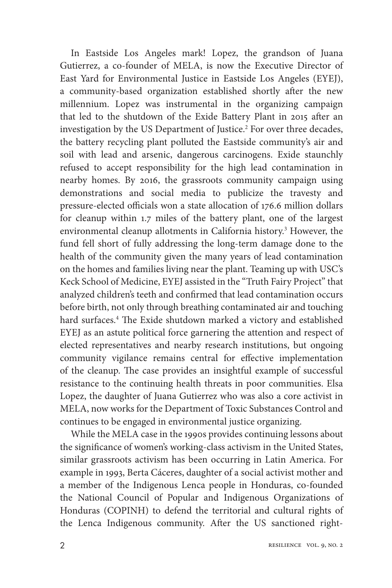In Eastside Los Angeles mark! Lopez, the grandson of Juana Gutierrez, a co-founder of MELA, is now the Executive Director of East Yard for Environmental Justice in Eastside Los Angeles (EYEJ), a community-based organization established shortly after the new millennium. Lopez was instrumental in the organizing campaign that led to the shutdown of the Exide Battery Plant in 2015 after an investigation by the US Department of Justice.2 For over three decades, the battery recycling plant polluted the Eastside community's air and soil with lead and arsenic, dangerous carcinogens. Exide staunchly refused to accept responsibility for the high lead contamination in nearby homes. By 2016, the grassroots community campaign using demonstrations and social media to publicize the travesty and pressure-elected officials won a state allocation of 176.6 million dollars for cleanup within 1.7 miles of the battery plant, one of the largest environmental cleanup allotments in California history.<sup>3</sup> However, the fund fell short of fully addressing the long-term damage done to the health of the community given the many years of lead contamination on the homes and families living near the plant. Teaming up with USC's Keck School of Medicine, EYEJ assisted in the "Truth Fairy Project" that analyzed children's teeth and confirmed that lead contamination occurs before birth, not only through breathing contaminated air and touching hard surfaces.4 The Exide shutdown marked a victory and established EYEJ as an astute political force garnering the attention and respect of elected representatives and nearby research institutions, but ongoing community vigilance remains central for effective implementation of the cleanup. The case provides an insightful example of successful resistance to the continuing health threats in poor communities. Elsa Lopez, the daughter of Juana Gutierrez who was also a core activist in MELA, now works for the Department of Toxic Substances Control and continues to be engaged in environmental justice organizing.

While the MELA case in the 1990s provides continuing lessons about the significance of women's working-class activism in the United States, similar grassroots activism has been occurring in Latin America. For example in 1993, Berta Cáceres, daughter of a social activist mother and a member of the Indigenous Lenca people in Honduras, co-founded the National Council of Popular and Indigenous Organizations of Honduras (COPINH) to defend the territorial and cultural rights of the Lenca Indigenous community. After the US sanctioned right-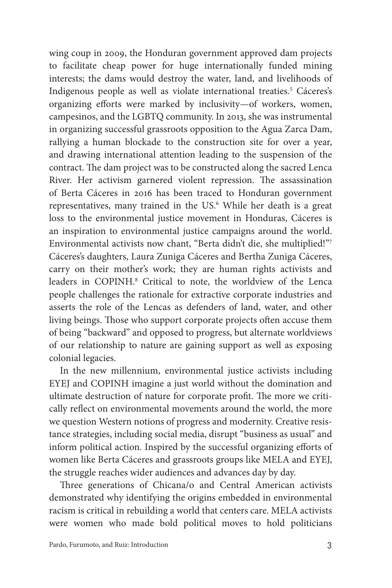wing coup in 2009, the Honduran government approved dam projects to facilitate cheap power for huge internationally funded mining interests; the dams would destroy the water, land, and livelihoods of Indigenous people as well as violate international treaties.<sup>5</sup> Cáceres's organizing efforts were marked by inclusivity—of workers, women, campesinos, and the LGBTQ community. In 2013, she was instrumental in organizing successful grassroots opposition to the Agua Zarca Dam, rallying a human blockade to the construction site for over a year, and drawing international attention leading to the suspension of the contract. The dam project was to be constructed along the sacred Lenca River. Her activism garnered violent repression. The assassination of Berta Cáceres in 2016 has been traced to Honduran government representatives, many trained in the US.<sup>6</sup> While her death is a great loss to the environmental justice movement in Honduras, Cáceres is an inspiration to environmental justice campaigns around the world. Environmental activists now chant, "Berta didn't die, she multiplied!"7 Cáceres's daughters, Laura Zuniga Cáceres and Bertha Zuniga Cáceres, carry on their mother's work; they are human rights activists and leaders in COPINH.<sup>8</sup> Critical to note, the worldview of the Lenca people challenges the rationale for extractive corporate industries and asserts the role of the Lencas as defenders of land, water, and other living beings. Those who support corporate projects often accuse them of being "backward" and opposed to progress, but alternate worldviews of our relationship to nature are gaining support as well as exposing colonial legacies.

In the new millennium, environmental justice activists including EYEJ and COPINH imagine a just world without the domination and ultimate destruction of nature for corporate profit. The more we critically reflect on environmental movements around the world, the more we question Western notions of progress and modernity. Creative resistance strategies, including social media, disrupt "business as usual" and inform political action. Inspired by the successful organizing efforts of women like Berta Cáceres and grassroots groups like MELA and EYEJ, the struggle reaches wider audiences and advances day by day.

Three generations of Chicana/o and Central American activists demonstrated why identifying the origins embedded in environmental racism is critical in rebuilding a world that centers care. MELA activists were women who made bold political moves to hold politicians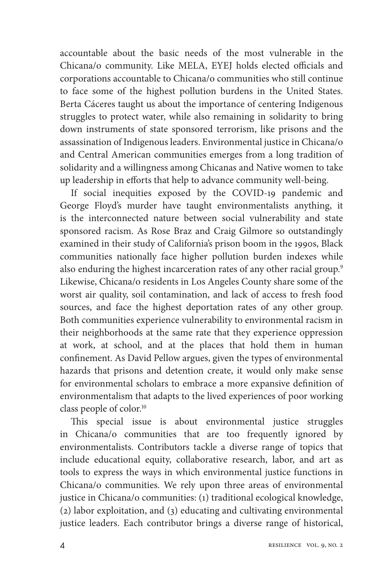accountable about the basic needs of the most vulnerable in the Chicana/o community. Like MELA, EYEJ holds elected officials and corporations accountable to Chicana/o communities who still continue to face some of the highest pollution burdens in the United States. Berta Cáceres taught us about the importance of centering Indigenous struggles to protect water, while also remaining in solidarity to bring down instruments of state sponsored terrorism, like prisons and the assassination of Indigenous leaders. Environmental justice in Chicana/o and Central American communities emerges from a long tradition of solidarity and a willingness among Chicanas and Native women to take up leadership in efforts that help to advance community well-being.

If social inequities exposed by the COVID-19 pandemic and George Floyd's murder have taught environmentalists anything, it is the interconnected nature between social vulnerability and state sponsored racism. As Rose Braz and Craig Gilmore so outstandingly examined in their study of California's prison boom in the 1990s, Black communities nationally face higher pollution burden indexes while also enduring the highest incarceration rates of any other racial group.<sup>9</sup> Likewise, Chicana/o residents in Los Angeles County share some of the worst air quality, soil contamination, and lack of access to fresh food sources, and face the highest deportation rates of any other group. Both communities experience vulnerability to environmental racism in their neighborhoods at the same rate that they experience oppression at work, at school, and at the places that hold them in human confinement. As David Pellow argues, given the types of environmental hazards that prisons and detention create, it would only make sense for environmental scholars to embrace a more expansive definition of environmentalism that adapts to the lived experiences of poor working class people of color.10

This special issue is about environmental justice struggles in Chicana/o communities that are too frequently ignored by environmentalists. Contributors tackle a diverse range of topics that include educational equity, collaborative research, labor, and art as tools to express the ways in which environmental justice functions in Chicana/o communities. We rely upon three areas of environmental justice in Chicana/o communities: (1) traditional ecological knowledge, (2) labor exploitation, and (3) educating and cultivating environmental justice leaders. Each contributor brings a diverse range of historical,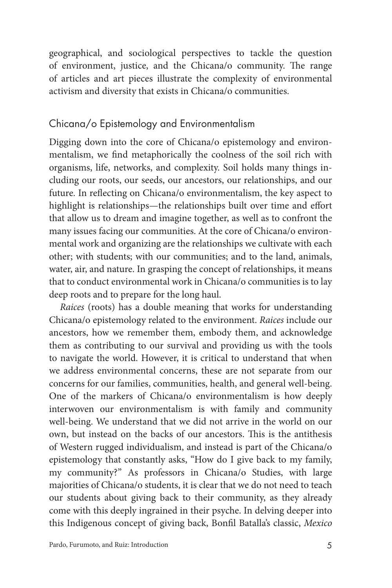geographical, and sociological perspectives to tackle the question of environment, justice, and the Chicana/o community. The range of articles and art pieces illustrate the complexity of environmental activism and diversity that exists in Chicana/o communities.

### Chicana/o Epistemology and Environmentalism

Digging down into the core of Chicana/o epistemology and environmentalism, we find metaphorically the coolness of the soil rich with organisms, life, networks, and complexity. Soil holds many things including our roots, our seeds, our ancestors, our relationships, and our future. In reflecting on Chicana/o environmentalism, the key aspect to highlight is relationships—the relationships built over time and effort that allow us to dream and imagine together, as well as to confront the many issues facing our communities. At the core of Chicana/o environmental work and organizing are the relationships we cultivate with each other; with students; with our communities; and to the land, animals, water, air, and nature. In grasping the concept of relationships, it means that to conduct environmental work in Chicana/o communities is to lay deep roots and to prepare for the long haul.

*Raices* (roots) has a double meaning that works for understanding Chicana/o epistemology related to the environment. *Raices* include our ancestors, how we remember them, embody them, and acknowledge them as contributing to our survival and providing us with the tools to navigate the world. However, it is critical to understand that when we address environmental concerns, these are not separate from our concerns for our families, communities, health, and general well-being. One of the markers of Chicana/o environmentalism is how deeply interwoven our environmentalism is with family and community well-being. We understand that we did not arrive in the world on our own, but instead on the backs of our ancestors. This is the antithesis of Western rugged individualism, and instead is part of the Chicana/o epistemology that constantly asks, "How do I give back to my family, my community?" As professors in Chicana/o Studies, with large majorities of Chicana/o students, it is clear that we do not need to teach our students about giving back to their community, as they already come with this deeply ingrained in their psyche. In delving deeper into this Indigenous concept of giving back, Bonfil Batalla's classic, *Mexico*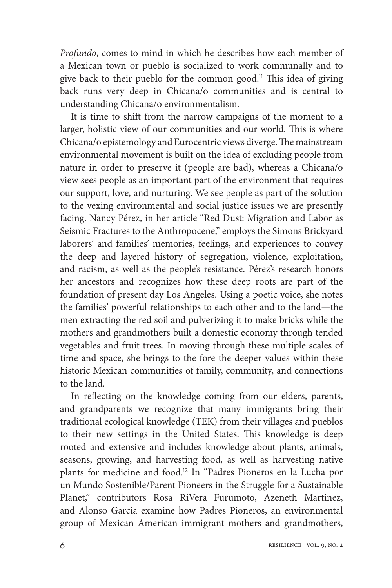*Profundo*, comes to mind in which he describes how each member of a Mexican town or pueblo is socialized to work communally and to give back to their pueblo for the common good.<sup>11</sup> This idea of giving back runs very deep in Chicana/o communities and is central to understanding Chicana/o environmentalism.

It is time to shift from the narrow campaigns of the moment to a larger, holistic view of our communities and our world. This is where Chicana/o epistemology and Eurocentric views diverge. The mainstream environmental movement is built on the idea of excluding people from nature in order to preserve it (people are bad), whereas a Chicana/o view sees people as an important part of the environment that requires our support, love, and nurturing. We see people as part of the solution to the vexing environmental and social justice issues we are presently facing. Nancy Pérez, in her article "Red Dust: Migration and Labor as Seismic Fractures to the Anthropocene," employs the Simons Brickyard laborers' and families' memories, feelings, and experiences to convey the deep and layered history of segregation, violence, exploitation, and racism, as well as the people's resistance. Pérez's research honors her ancestors and recognizes how these deep roots are part of the foundation of present day Los Angeles. Using a poetic voice, she notes the families' powerful relationships to each other and to the land—the men extracting the red soil and pulverizing it to make bricks while the mothers and grandmothers built a domestic economy through tended vegetables and fruit trees. In moving through these multiple scales of time and space, she brings to the fore the deeper values within these historic Mexican communities of family, community, and connections to the land.

In reflecting on the knowledge coming from our elders, parents, and grandparents we recognize that many immigrants bring their traditional ecological knowledge (TEK) from their villages and pueblos to their new settings in the United States. This knowledge is deep rooted and extensive and includes knowledge about plants, animals, seasons, growing, and harvesting food, as well as harvesting native plants for medicine and food.12 In "Padres Pioneros en la Lucha por un Mundo Sostenible/Parent Pioneers in the Struggle for a Sustainable Planet," contributors Rosa RiVera Furumoto, Azeneth Martinez, and Alonso Garcia examine how Padres Pioneros, an environmental group of Mexican American immigrant mothers and grandmothers,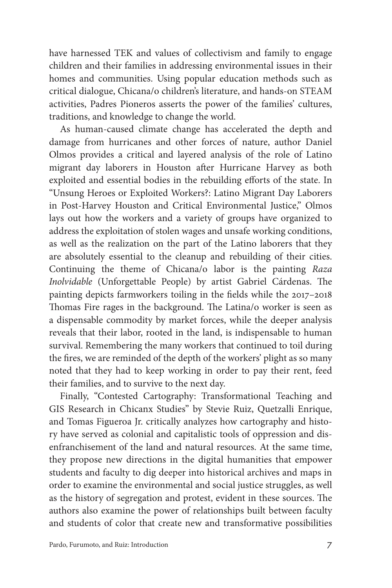have harnessed TEK and values of collectivism and family to engage children and their families in addressing environmental issues in their homes and communities. Using popular education methods such as critical dialogue, Chicana/o children's literature, and hands-on STEAM activities, Padres Pioneros asserts the power of the families' cultures, traditions, and knowledge to change the world.

As human-caused climate change has accelerated the depth and damage from hurricanes and other forces of nature, author Daniel Olmos provides a critical and layered analysis of the role of Latino migrant day laborers in Houston after Hurricane Harvey as both exploited and essential bodies in the rebuilding efforts of the state. In "Unsung Heroes or Exploited Workers?: Latino Migrant Day Laborers in Post-Harvey Houston and Critical Environmental Justice," Olmos lays out how the workers and a variety of groups have organized to address the exploitation of stolen wages and unsafe working conditions, as well as the realization on the part of the Latino laborers that they are absolutely essential to the cleanup and rebuilding of their cities. Continuing the theme of Chicana/o labor is the painting *Raza Inolvidable* (Unforgettable People) by artist Gabriel Cárdenas. The painting depicts farmworkers toiling in the fields while the 2017–2018 Thomas Fire rages in the background. The Latina/o worker is seen as a dispensable commodity by market forces, while the deeper analysis reveals that their labor, rooted in the land, is indispensable to human survival. Remembering the many workers that continued to toil during the fires, we are reminded of the depth of the workers' plight as so many noted that they had to keep working in order to pay their rent, feed their families, and to survive to the next day.

Finally, "Contested Cartography: Transformational Teaching and GIS Research in Chicanx Studies" by Stevie Ruiz, Quetzalli Enrique, and Tomas Figueroa Jr. critically analyzes how cartography and history have served as colonial and capitalistic tools of oppression and disenfranchisement of the land and natural resources. At the same time, they propose new directions in the digital humanities that empower students and faculty to dig deeper into historical archives and maps in order to examine the environmental and social justice struggles, as well as the history of segregation and protest, evident in these sources. The authors also examine the power of relationships built between faculty and students of color that create new and transformative possibilities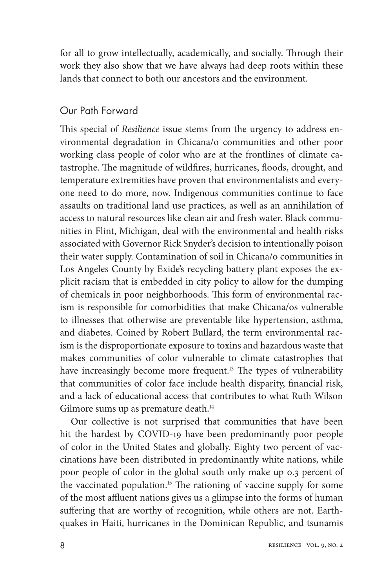for all to grow intellectually, academically, and socially. Through their work they also show that we have always had deep roots within these lands that connect to both our ancestors and the environment.

## Our Path Forward

This special of *Resilience* issue stems from the urgency to address environmental degradation in Chicana/o communities and other poor working class people of color who are at the frontlines of climate catastrophe. The magnitude of wildfires, hurricanes, floods, drought, and temperature extremities have proven that environmentalists and everyone need to do more, now. Indigenous communities continue to face assaults on traditional land use practices, as well as an annihilation of access to natural resources like clean air and fresh water. Black communities in Flint, Michigan, deal with the environmental and health risks associated with Governor Rick Snyder's decision to intentionally poison their water supply. Contamination of soil in Chicana/o communities in Los Angeles County by Exide's recycling battery plant exposes the explicit racism that is embedded in city policy to allow for the dumping of chemicals in poor neighborhoods. This form of environmental racism is responsible for comorbidities that make Chicana/os vulnerable to illnesses that otherwise are preventable like hypertension, asthma, and diabetes. Coined by Robert Bullard, the term environmental racism is the disproportionate exposure to toxins and hazardous waste that makes communities of color vulnerable to climate catastrophes that have increasingly become more frequent.<sup>13</sup> The types of vulnerability that communities of color face include health disparity, financial risk, and a lack of educational access that contributes to what Ruth Wilson Gilmore sums up as premature death.<sup>14</sup>

Our collective is not surprised that communities that have been hit the hardest by COVID-19 have been predominantly poor people of color in the United States and globally. Eighty two percent of vaccinations have been distributed in predominantly white nations, while poor people of color in the global south only make up 0.3 percent of the vaccinated population.<sup>15</sup> The rationing of vaccine supply for some of the most affluent nations gives us a glimpse into the forms of human suffering that are worthy of recognition, while others are not. Earthquakes in Haiti, hurricanes in the Dominican Republic, and tsunamis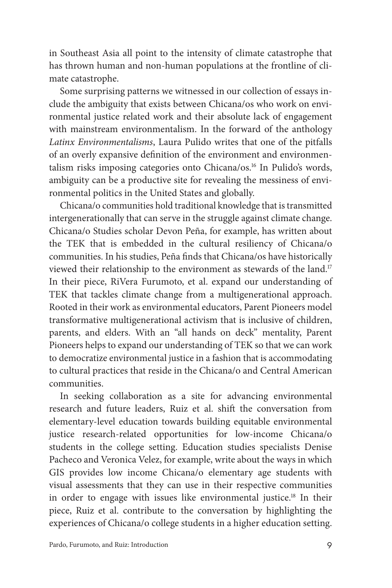in Southeast Asia all point to the intensity of climate catastrophe that has thrown human and non-human populations at the frontline of climate catastrophe.

Some surprising patterns we witnessed in our collection of essays include the ambiguity that exists between Chicana/os who work on environmental justice related work and their absolute lack of engagement with mainstream environmentalism. In the forward of the anthology *Latinx Environmentalisms*, Laura Pulido writes that one of the pitfalls of an overly expansive definition of the environment and environmentalism risks imposing categories onto Chicana/os.16 In Pulido's words, ambiguity can be a productive site for revealing the messiness of environmental politics in the United States and globally.

Chicana/o communities hold traditional knowledge that is transmitted intergenerationally that can serve in the struggle against climate change. Chicana/o Studies scholar Devon Peña, for example, has written about the TEK that is embedded in the cultural resiliency of Chicana/o communities. In his studies, Peña finds that Chicana/os have historically viewed their relationship to the environment as stewards of the land.<sup>17</sup> In their piece, RiVera Furumoto, et al. expand our understanding of TEK that tackles climate change from a multigenerational approach. Rooted in their work as environmental educators, Parent Pioneers model transformative multigenerational activism that is inclusive of children, parents, and elders. With an "all hands on deck" mentality, Parent Pioneers helps to expand our understanding of TEK so that we can work to democratize environmental justice in a fashion that is accommodating to cultural practices that reside in the Chicana/o and Central American communities.

In seeking collaboration as a site for advancing environmental research and future leaders, Ruiz et al. shift the conversation from elementary-level education towards building equitable environmental justice research-related opportunities for low-income Chicana/o students in the college setting. Education studies specialists Denise Pacheco and Veronica Velez, for example, write about the ways in which GIS provides low income Chicana/o elementary age students with visual assessments that they can use in their respective communities in order to engage with issues like environmental justice.<sup>18</sup> In their piece, Ruiz et al. contribute to the conversation by highlighting the experiences of Chicana/o college students in a higher education setting.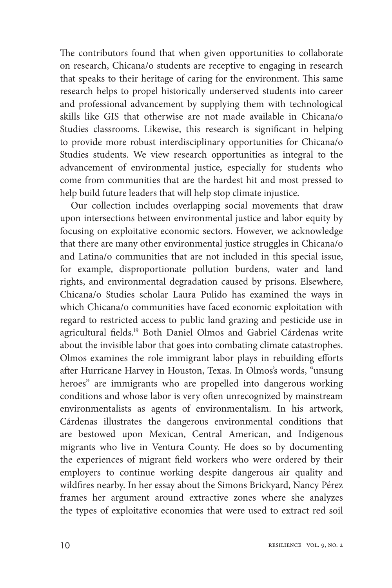The contributors found that when given opportunities to collaborate on research, Chicana/o students are receptive to engaging in research that speaks to their heritage of caring for the environment. This same research helps to propel historically underserved students into career and professional advancement by supplying them with technological skills like GIS that otherwise are not made available in Chicana/o Studies classrooms. Likewise, this research is significant in helping to provide more robust interdisciplinary opportunities for Chicana/o Studies students. We view research opportunities as integral to the advancement of environmental justice, especially for students who come from communities that are the hardest hit and most pressed to help build future leaders that will help stop climate injustice.

Our collection includes overlapping social movements that draw upon intersections between environmental justice and labor equity by focusing on exploitative economic sectors. However, we acknowledge that there are many other environmental justice struggles in Chicana/o and Latina/o communities that are not included in this special issue, for example, disproportionate pollution burdens, water and land rights, and environmental degradation caused by prisons. Elsewhere, Chicana/o Studies scholar Laura Pulido has examined the ways in which Chicana/o communities have faced economic exploitation with regard to restricted access to public land grazing and pesticide use in agricultural fields.<sup>19</sup> Both Daniel Olmos and Gabriel Cárdenas write about the invisible labor that goes into combating climate catastrophes. Olmos examines the role immigrant labor plays in rebuilding efforts after Hurricane Harvey in Houston, Texas. In Olmos's words, "unsung heroes" are immigrants who are propelled into dangerous working conditions and whose labor is very often unrecognized by mainstream environmentalists as agents of environmentalism. In his artwork, Cárdenas illustrates the dangerous environmental conditions that are bestowed upon Mexican, Central American, and Indigenous migrants who live in Ventura County. He does so by documenting the experiences of migrant field workers who were ordered by their employers to continue working despite dangerous air quality and wildfires nearby. In her essay about the Simons Brickyard, Nancy Pérez frames her argument around extractive zones where she analyzes the types of exploitative economies that were used to extract red soil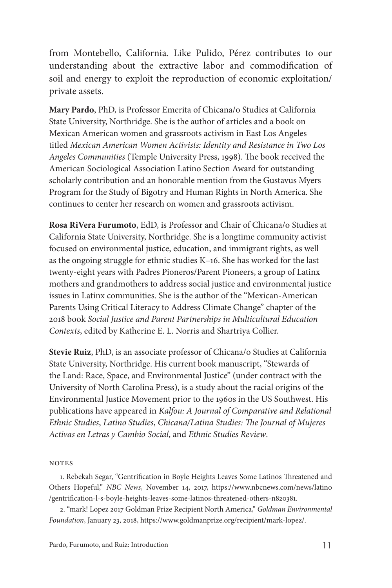from Montebello, California. Like Pulido, Pérez contributes to our understanding about the extractive labor and commodification of soil and energy to exploit the reproduction of economic exploitation/ private assets.

**Mary Pardo**, PhD, is Professor Emerita of Chicana/o Studies at California State University, Northridge. She is the author of articles and a book on Mexican American women and grassroots activism in East Los Angeles titled *Mexican American Women Activists: Identity and Resistance in Two Los Angeles Communities* (Temple University Press, 1998). The book received the American Sociological Association Latino Section Award for outstanding scholarly contribution and an honorable mention from the Gustavus Myers Program for the Study of Bigotry and Human Rights in North America. She continues to center her research on women and grassroots activism.

**Rosa RiVera Furumoto**, EdD, is Professor and Chair of Chicana/o Studies at California State University, Northridge. She is a longtime community activist focused on environmental justice, education, and immigrant rights, as well as the ongoing struggle for ethnic studies K–16. She has worked for the last twenty-eight years with Padres Pioneros/Parent Pioneers, a group of Latinx mothers and grandmothers to address social justice and environmental justice issues in Latinx communities. She is the author of the "Mexican-American Parents Using Critical Literacy to Address Climate Change" chapter of the 2018 book *Social Justice and Parent Partnerships in Multicultural Education Contexts*, edited by Katherine E. L. Norris and Shartriya Collier.

**Stevie Ruiz**, PhD, is an associate professor of Chicana/o Studies at California State University, Northridge. His current book manuscript, "Stewards of the Land: Race, Space, and Environmental Justice" (under contract with the University of North Carolina Press), is a study about the racial origins of the Environmental Justice Movement prior to the 1960s in the US Southwest. His publications have appeared in *Kalfou: A Journal of Comparative and Relational Ethnic Studies*, *Latino Studies*, *Chicana/Latina Studies: The Journal of Mujeres Activas en Letras y Cambio Social*, and *Ethnic Studies Review*.

#### **NOTES**

1. Rebekah Segar, "Gentrification in Boyle Heights Leaves Some Latinos Threatened and Others Hopeful," *NBC News*, November 14, 2017, https://www.nbcnews.com/news/latino /gentrification-l-s-boyle-heights-leaves-some-latinos-threatened-others-n820381.

2. "mark! Lopez 2017 Goldman Prize Recipient North America," *Goldman Environmental Foundation*, January 23, 2018, https://www.goldmanprize.org/recipient/mark-lopez/.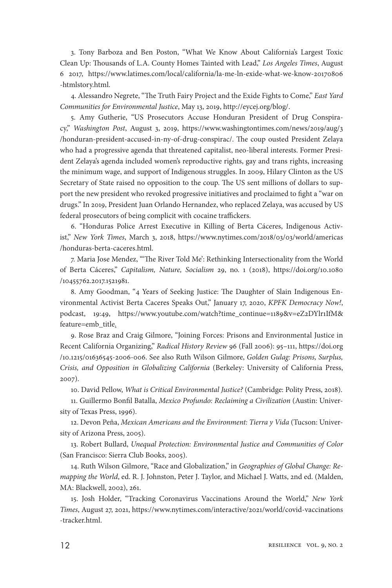3. Tony Barboza and Ben Poston, "What We Know About California's Largest Toxic Clean Up: Thousands of L.A. County Homes Tainted with Lead," *Los Angeles Times*, August 6 2017, https://www.latimes.com/local/california/la-me-ln-exide-what-we-know-20170806 -htmlstory.html.

4. Alessandro Negrete, "The Truth Fairy Project and the Exide Fights to Come," *East Yard Communities for Environmental Justice*, May 13, 2019, http://eycej.org/blog/.

5. Amy Gutherie, "US Prosecutors Accuse Honduran President of Drug Conspiracy," *Washington Post*, August 3, 2019, https://www.washingtontimes.com/news/2019/aug/3 /honduran-president-accused-in-ny-of-drug-conspirac/. The coup ousted President Zelaya who had a progressive agenda that threatened capitalist, neo-liberal interests. Former President Zelaya's agenda included women's reproductive rights, gay and trans rights, increasing the minimum wage, and support of Indigenous struggles. In 2009, Hilary Clinton as the US Secretary of State raised no opposition to the coup. The US sent millions of dollars to support the new president who revoked progressive initiatives and proclaimed to fight a "war on drugs." In 2019, President Juan Orlando Hernandez, who replaced Zelaya, was accused by US federal prosecutors of being complicit with cocaine traffickers.

6. "Honduras Police Arrest Executive in Killing of Berta Cáceres, Indigenous Activist," *New York Times*, March 3, 2018, https://www.nytimes.com/2018/03/03/world/americas /honduras-berta-caceres.html.

7. Maria Jose Mendez, "'The River Told Me': Rethinking Intersectionality from the World of Berta Cáceres," *Capitalism, Nature, Socialism* 29, no. 1 (2018), https://doi.org/10.1080 /10455762.2017.1521981.

8. Amy Goodman, "4 Years of Seeking Justice: The Daughter of Slain Indigenous Environmental Activist Berta Caceres Speaks Out," January 17, 2020, *KPFK Democracy Now!*, podcast, 19:49, https://www.youtube.com/watch?time\_continue=1189&v=eZ2DYlr1IfM& feature=emb\_title.

9. Rose Braz and Craig Gilmore, "Joining Forces: Prisons and Environmental Justice in Recent California Organizing," *Radical History Review* 96 (Fall 2006): 95–111, https://doi.org /10.1215/01636545-2006-006. See also Ruth Wilson Gilmore, *Golden Gulag: Prisons, Surplus, Crisis, and Opposition in Globalizing California* (Berkeley: University of California Press, 2007).

10. David Pellow, *What is Critical Environmental Justice?* (Cambridge: Polity Press, 2018).

11. Guillermo Bonfil Batalla, *Mexico Profundo: Reclaiming a Civilization* (Austin: University of Texas Press, 1996).

12. Devon Peña, *Mexican Americans and the Environment: Tierra y Vida* (Tucson: University of Arizona Press, 2005).

13. Robert Bullard, *Unequal Protection: Environmental Justice and Communities of Color* (San Francisco: Sierra Club Books, 2005).

14. Ruth Wilson Gilmore, "Race and Globalization," in *Geographies of Global Change: Remapping the World*, ed. R. J. Johnston, Peter J. Taylor, and Michael J. Watts, 2nd ed. (Malden, MA: Blackwell, 2002), 261.

15. Josh Holder, "Tracking Coronavirus Vaccinations Around the World," *New York Times*, August 27, 2021, https://www.nytimes.com/interactive/2021/world/covid-vaccinations -tracker.html.